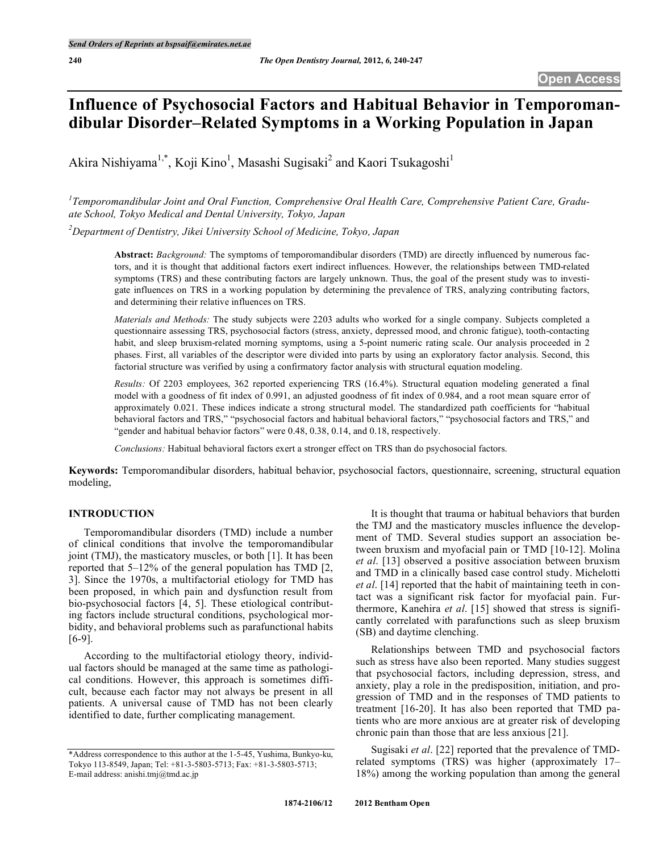# **Influence of Psychosocial Factors and Habitual Behavior in Temporomandibular Disorder–Related Symptoms in a Working Population in Japan**

Akira Nishiyama<sup>1,\*</sup>, Koji Kino<sup>1</sup>, Masashi Sugisaki<sup>2</sup> and Kaori Tsukagoshi<sup>1</sup>

*1 Temporomandibular Joint and Oral Function, Comprehensive Oral Health Care, Comprehensive Patient Care, Graduate School, Tokyo Medical and Dental University, Tokyo, Japan*

*2 Department of Dentistry, Jikei University School of Medicine, Tokyo, Japan*

**Abstract:** *Background:* The symptoms of temporomandibular disorders (TMD) are directly influenced by numerous factors, and it is thought that additional factors exert indirect influences. However, the relationships between TMD-related symptoms (TRS) and these contributing factors are largely unknown. Thus, the goal of the present study was to investigate influences on TRS in a working population by determining the prevalence of TRS, analyzing contributing factors, and determining their relative influences on TRS.

*Materials and Methods:* The study subjects were 2203 adults who worked for a single company. Subjects completed a questionnaire assessing TRS, psychosocial factors (stress, anxiety, depressed mood, and chronic fatigue), tooth-contacting habit, and sleep bruxism-related morning symptoms, using a 5-point numeric rating scale. Our analysis proceeded in 2 phases. First, all variables of the descriptor were divided into parts by using an exploratory factor analysis. Second, this factorial structure was verified by using a confirmatory factor analysis with structural equation modeling.

*Results:* Of 2203 employees, 362 reported experiencing TRS (16.4%). Structural equation modeling generated a final model with a goodness of fit index of 0.991, an adjusted goodness of fit index of 0.984, and a root mean square error of approximately 0.021. These indices indicate a strong structural model. The standardized path coefficients for "habitual behavioral factors and TRS," "psychosocial factors and habitual behavioral factors," "psychosocial factors and TRS," and "gender and habitual behavior factors" were 0.48, 0.38, 0.14, and 0.18, respectively.

*Conclusions:* Habitual behavioral factors exert a stronger effect on TRS than do psychosocial factors.

**Keywords:** Temporomandibular disorders, habitual behavior, psychosocial factors, questionnaire, screening, structural equation modeling,

# **INTRODUCTION**

Temporomandibular disorders (TMD) include a number of clinical conditions that involve the temporomandibular joint (TMJ), the masticatory muscles, or both [1]. It has been reported that 5–12% of the general population has TMD [2, 3]. Since the 1970s, a multifactorial etiology for TMD has been proposed, in which pain and dysfunction result from bio-psychosocial factors [4, 5]. These etiological contributing factors include structural conditions, psychological morbidity, and behavioral problems such as parafunctional habits [6-9].

According to the multifactorial etiology theory, individual factors should be managed at the same time as pathological conditions. However, this approach is sometimes difficult, because each factor may not always be present in all patients. A universal cause of TMD has not been clearly identified to date, further complicating management.

It is thought that trauma or habitual behaviors that burden the TMJ and the masticatory muscles influence the development of TMD. Several studies support an association between bruxism and myofacial pain or TMD [10-12]. Molina *et al*. [13] observed a positive association between bruxism and TMD in a clinically based case control study. Michelotti *et al*. [14] reported that the habit of maintaining teeth in contact was a significant risk factor for myofacial pain. Furthermore, Kanehira *et al*. [15] showed that stress is significantly correlated with parafunctions such as sleep bruxism (SB) and daytime clenching.

Relationships between TMD and psychosocial factors such as stress have also been reported. Many studies suggest that psychosocial factors, including depression, stress, and anxiety, play a role in the predisposition, initiation, and progression of TMD and in the responses of TMD patients to treatment [16-20]. It has also been reported that TMD patients who are more anxious are at greater risk of developing chronic pain than those that are less anxious [21].

Sugisaki *et al*. [22] reported that the prevalence of TMDrelated symptoms (TRS) was higher (approximately 17– 18%) among the working population than among the general

<sup>\*</sup>Address correspondence to this author at the 1-5-45, Yushima, Bunkyo-ku, Tokyo 113-8549, Japan; Tel: +81-3-5803-5713; Fax: +81-3-5803-5713; E-mail address: anishi.tmj@tmd.ac.jp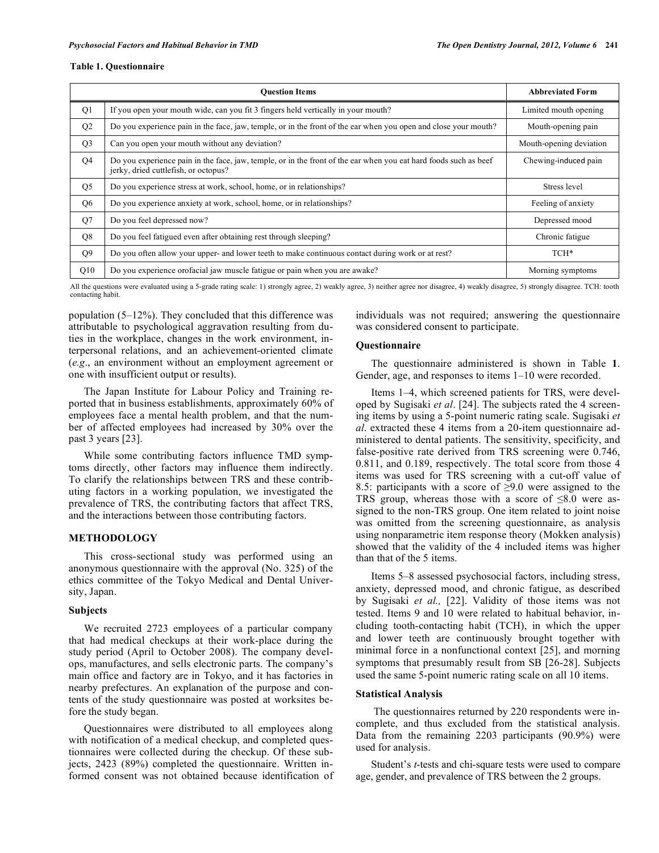#### **Table 1. Questionnaire**

|                | <b>Ouestion Items</b>                                                                                                                                    | <b>Abbreviated Form</b> |
|----------------|----------------------------------------------------------------------------------------------------------------------------------------------------------|-------------------------|
| Q <sub>1</sub> | If you open your mouth wide, can you fit 3 fingers held vertically in your mouth?                                                                        | Limited mouth opening   |
| Q2             | Do you experience pain in the face, jaw, temple, or in the front of the ear when you open and close your mouth?                                          | Mouth-opening pain      |
| O <sub>3</sub> | Can you open your mouth without any deviation?                                                                                                           | Mouth-opening deviation |
| Q <sub>4</sub> | Do you experience pain in the face, jaw, temple, or in the front of the ear when you eat hard foods such as beef<br>jerky, dried cuttlefish, or octopus? | Chewing-induced pain    |
| Q <sub>5</sub> | Do you experience stress at work, school, home, or in relationships?                                                                                     | Stress level            |
| Q <sub>6</sub> | Do you experience anxiety at work, school, home, or in relationships?                                                                                    | Feeling of anxiety      |
| O <sub>7</sub> | Do you feel depressed now?                                                                                                                               | Depressed mood          |
| Q8             | Do you feel fatigued even after obtaining rest through sleeping?                                                                                         | Chronic fatigue         |
| Q <sub>9</sub> | Do you often allow your upper- and lower teeth to make continuous contact during work or at rest?                                                        | TCH*                    |
| Q10            | Do you experience orofacial jaw muscle fatigue or pain when you are awake?                                                                               | Morning symptoms        |

All the questions were evaluated using a 5-grade rating scale: 1) strongly agree, 2) weakly agree, 3) neither agree nor disagree, 4) weakly disagree, 5) strongly disagree. TCH: tooth contacting habit.

population (5–12%). They concluded that this difference was attributable to psychological aggravation resulting from duties in the workplace, changes in the work environment, interpersonal relations, and an achievement-oriented climate (*e.g*., an environment without an employment agreement or one with insufficient output or results).

The Japan Institute for Labour Policy and Training reported that in business establishments, approximately 60% of employees face a mental health problem, and that the number of affected employees had increased by 30% over the past 3 years [23].

While some contributing factors influence TMD symptoms directly, other factors may influence them indirectly. To clarify the relationships between TRS and these contributing factors in a working population, we investigated the prevalence of TRS, the contributing factors that affect TRS, and the interactions between those contributing factors.

#### **METHODOLOGY**

This cross-sectional study was performed using an anonymous questionnaire with the approval (No. 325) of the ethics committee of the Tokyo Medical and Dental University, Japan.

### **Subjects**

We recruited 2723 employees of a particular company that had medical checkups at their work-place during the study period (April to October 2008). The company develops, manufactures, and sells electronic parts. The company's main office and factory are in Tokyo, and it has factories in nearby prefectures. An explanation of the purpose and contents of the study questionnaire was posted at worksites before the study began.

Questionnaires were distributed to all employees along with notification of a medical checkup, and completed questionnaires were collected during the checkup. Of these subjects, 2423 (89%) completed the questionnaire. Written informed consent was not obtained because identification of individuals was not required; answering the questionnaire was considered consent to participate.

#### **Questionnaire**

The questionnaire administered is shown in Table **1**. Gender, age, and responses to items 1–10 were recorded.

Items 1–4, which screened patients for TRS, were developed by Sugisaki *et al*. [24]. The subjects rated the 4 screening items by using a 5-point numeric rating scale. Sugisaki *et al*. extracted these 4 items from a 20-item questionnaire administered to dental patients. The sensitivity, specificity, and false-positive rate derived from TRS screening were 0.746, 0.811, and 0.189, respectively. The total score from those 4 items was used for TRS screening with a cut-off value of 8.5: participants with a score of ≥9.0 were assigned to the TRS group, whereas those with a score of  $\leq 8.0$  were assigned to the non-TRS group. One item related to joint noise was omitted from the screening questionnaire, as analysis using nonparametric item response theory (Mokken analysis) showed that the validity of the 4 included items was higher than that of the 5 items.

Items 5–8 assessed psychosocial factors, including stress, anxiety, depressed mood, and chronic fatigue, as described by Sugisaki *et al.,* [22]. Validity of those items was not tested. Items 9 and 10 were related to habitual behavior, including tooth-contacting habit (TCH), in which the upper and lower teeth are continuously brought together with minimal force in a nonfunctional context [25], and morning symptoms that presumably result from SB [26-28]. Subjects used the same 5-point numeric rating scale on all 10 items.

# **Statistical Analysis**

The questionnaires returned by 220 respondents were incomplete, and thus excluded from the statistical analysis. Data from the remaining 2203 participants (90.9%) were used for analysis.

Student's *t*-tests and chi-square tests were used to compare age, gender, and prevalence of TRS between the 2 groups.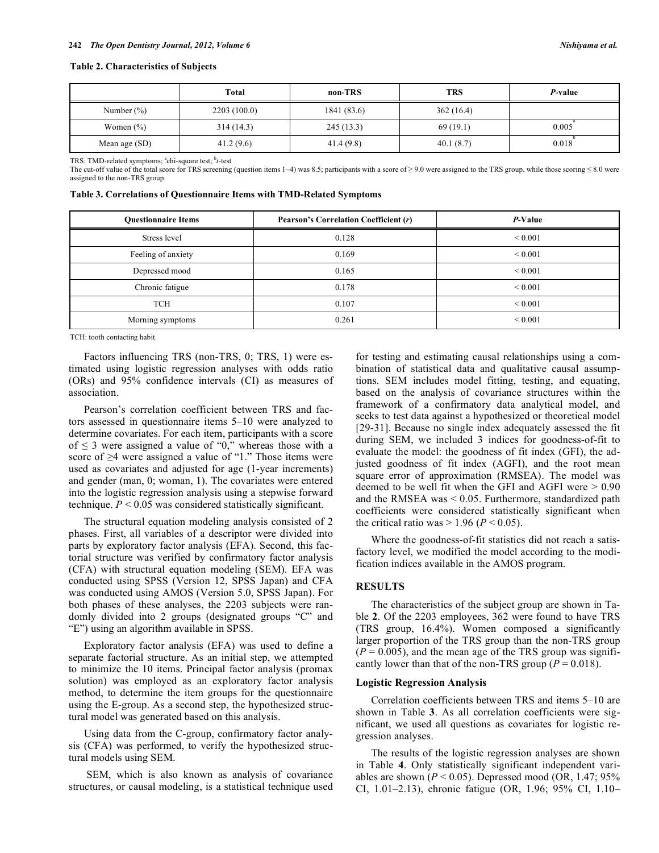|               | Total       | non-TRS     | TRS       | P-value |
|---------------|-------------|-------------|-----------|---------|
| Number $(\%)$ | 2203(100.0) | 1841 (83.6) | 362(16.4) |         |
| Women $(\% )$ | 314(14.3)   | 245(13.3)   | 69(19.1)  | 0.005   |
| Mean age (SD) | 41.2(9.6)   | 41.4 (9.8)  | 40.1(8.7) | 0.018   |

TRS: TMD-related symptoms; <sup>a</sup>chi-square test; <sup>b</sup>t-test

The cut-off value of the total score for TRS screening (question items 1–4) was 8.5; participants with a score of  $\geq$  9.0 were assigned to the TRS group, while those scoring  $\leq$  8.0 were assigned to the non-TRS group.

| Table 3. Correlations of Questionnaire Items with TMD-Related Symptoms |  |  |  |
|------------------------------------------------------------------------|--|--|--|
|                                                                        |  |  |  |

| <b>Ouestionnaire Items</b> | <b>Pearson's Correlation Coefficient (r)</b> | P-Value      |
|----------------------------|----------------------------------------------|--------------|
| Stress level               | 0.128                                        | ${}_{0.001}$ |
| Feeling of anxiety         | 0.169                                        | ${}_{0.001}$ |
| Depressed mood             | 0.165                                        | ${}_{0.001}$ |
| Chronic fatigue            | 0.178                                        | ${}_{0.001}$ |
| <b>TCH</b>                 | 0.107                                        | ${}_{0.001}$ |
| Morning symptoms           | 0.261                                        | ${}_{0.001}$ |

TCH: tooth contacting habit.

Factors influencing TRS (non-TRS, 0; TRS, 1) were estimated using logistic regression analyses with odds ratio (ORs) and 95% confidence intervals (CI) as measures of association.

Pearson's correlation coefficient between TRS and factors assessed in questionnaire items 5–10 were analyzed to determine covariates. For each item, participants with a score of  $\leq$  3 were assigned a value of "0," whereas those with a score of ≥4 were assigned a value of "1." Those items were used as covariates and adjusted for age (1-year increments) and gender (man, 0; woman, 1). The covariates were entered into the logistic regression analysis using a stepwise forward technique.  $P < 0.05$  was considered statistically significant.

The structural equation modeling analysis consisted of 2 phases. First, all variables of a descriptor were divided into parts by exploratory factor analysis (EFA). Second, this factorial structure was verified by confirmatory factor analysis (CFA) with structural equation modeling (SEM). EFA was conducted using SPSS (Version 12, SPSS Japan) and CFA was conducted using AMOS (Version 5.0, SPSS Japan). For both phases of these analyses, the 2203 subjects were randomly divided into 2 groups (designated groups "C" and "E") using an algorithm available in SPSS.

Exploratory factor analysis (EFA) was used to define a separate factorial structure. As an initial step, we attempted to minimize the 10 items. Principal factor analysis (promax solution) was employed as an exploratory factor analysis method, to determine the item groups for the questionnaire using the E-group. As a second step, the hypothesized structural model was generated based on this analysis.

Using data from the C-group, confirmatory factor analysis (CFA) was performed, to verify the hypothesized structural models using SEM.

SEM, which is also known as analysis of covariance structures, or causal modeling, is a statistical technique used for testing and estimating causal relationships using a combination of statistical data and qualitative causal assumptions. SEM includes model fitting, testing, and equating, based on the analysis of covariance structures within the framework of a confirmatory data analytical model, and seeks to test data against a hypothesized or theoretical model [29-31]. Because no single index adequately assessed the fit during SEM, we included 3 indices for goodness-of-fit to evaluate the model: the goodness of fit index (GFI), the adjusted goodness of fit index (AGFI), and the root mean square error of approximation (RMSEA). The model was deemed to be well fit when the GFI and AGFI were > 0.90 and the RMSEA was < 0.05. Furthermore, standardized path coefficients were considered statistically significant when the critical ratio was  $> 1.96$  ( $P < 0.05$ ).

Where the goodness-of-fit statistics did not reach a satisfactory level, we modified the model according to the modification indices available in the AMOS program.

# **RESULTS**

The characteristics of the subject group are shown in Table **2**. Of the 2203 employees, 362 were found to have TRS (TRS group, 16.4%). Women composed a significantly larger proportion of the TRS group than the non-TRS group  $(P = 0.005)$ , and the mean age of the TRS group was significantly lower than that of the non-TRS group  $(P = 0.018)$ .

#### **Logistic Regression Analysis**

Correlation coefficients between TRS and items 5–10 are shown in Table **3**. As all correlation coefficients were significant, we used all questions as covariates for logistic regression analyses.

The results of the logistic regression analyses are shown in Table **4**. Only statistically significant independent variables are shown ( $P < 0.05$ ). Depressed mood (OR, 1.47; 95%) CI, 1.01–2.13), chronic fatigue (OR, 1.96; 95% CI, 1.10–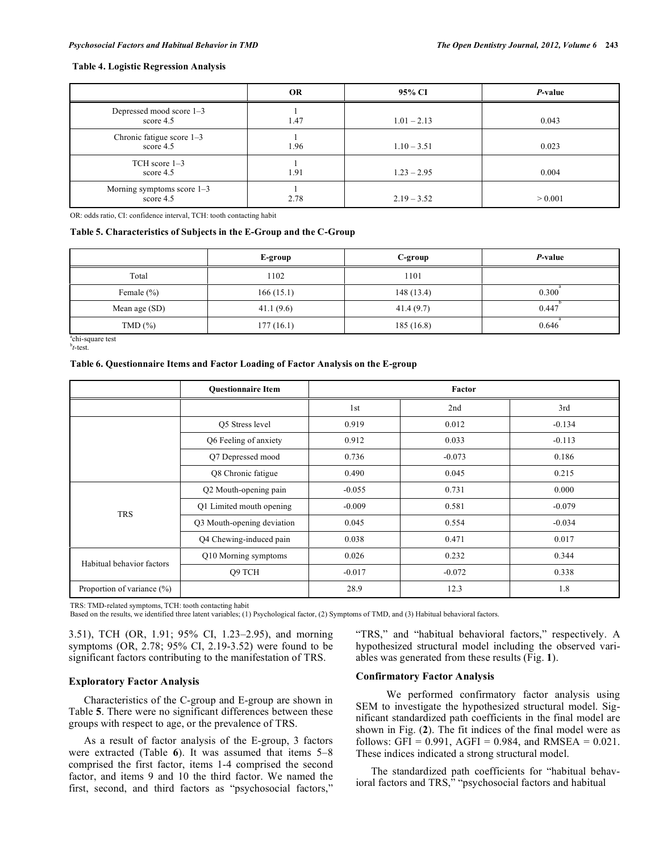#### **Table 4. Logistic Regression Analysis**

|                                             | <b>OR</b> | 95% CI        | P-value |
|---------------------------------------------|-----------|---------------|---------|
| Depressed mood score 1-3<br>score $4.5$     | 1.47      | $1.01 - 2.13$ | 0.043   |
| Chronic fatigue score $1-3$<br>score $4.5$  | 1.96      | $1.10 - 3.51$ | 0.023   |
| $TCH$ score $1-3$<br>score $4.5$            | 1.91      | $1.23 - 2.95$ | 0.004   |
| Morning symptoms score $1-3$<br>score $4.5$ | 2.78      | $2.19 - 3.52$ | > 0.001 |

OR: odds ratio, CI: confidence interval, TCH: tooth contacting habit

#### **Table 5. Characteristics of Subjects in the E-Group and the C-Group**

|                | E-group   | C-group    | P-value |
|----------------|-----------|------------|---------|
| Total          | 1102      | 1101       |         |
| Female $(\% )$ | 166(15.1) | 148 (13.4) | 0.300   |
| Mean age (SD)  | 41.1(9.6) | 41.4(9.7)  | 0.447   |
| TMD(%)         | 177(16.1) | 185(16.8)  | 0.646   |

 $\sum_{b}^{a}$ chi-square test **-test.** 

#### **Table 6. Questionnaire Items and Factor Loading of Factor Analysis on the E-group**

|                            | <b>Ouestionnaire Item</b>  | Factor   |          |          |
|----------------------------|----------------------------|----------|----------|----------|
|                            |                            | 1st      | 2nd      | 3rd      |
|                            | O5 Stress level            | 0.919    | 0.012    | $-0.134$ |
|                            | Q6 Feeling of anxiety      | 0.912    | 0.033    | $-0.113$ |
|                            | Q7 Depressed mood          | 0.736    | $-0.073$ | 0.186    |
|                            | Q8 Chronic fatigue         | 0.490    | 0.045    | 0.215    |
|                            | Q2 Mouth-opening pain      | $-0.055$ | 0.731    | 0.000    |
| <b>TRS</b>                 | Q1 Limited mouth opening   | $-0.009$ | 0.581    | $-0.079$ |
|                            | Q3 Mouth-opening deviation | 0.045    | 0.554    | $-0.034$ |
|                            | Q4 Chewing-induced pain    | 0.038    | 0.471    | 0.017    |
|                            | Q10 Morning symptoms       | 0.026    | 0.232    | 0.344    |
| Habitual behavior factors  | Q9 TCH                     | $-0.017$ | $-0.072$ | 0.338    |
| Proportion of variance (%) |                            | 28.9     | 12.3     | 1.8      |

TRS: TMD-related symptoms, TCH: tooth contacting habit

Based on the results, we identified three latent variables; (1) Psychological factor, (2) Symptoms of TMD, and (3) Habitual behavioral factors.

3.51), TCH (OR, 1.91; 95% CI, 1.23–2.95), and morning symptoms (OR, 2.78; 95% CI, 2.19-3.52) were found to be significant factors contributing to the manifestation of TRS.

# **Exploratory Factor Analysis**

Characteristics of the C-group and E-group are shown in Table **5**. There were no significant differences between these groups with respect to age, or the prevalence of TRS.

As a result of factor analysis of the E-group, 3 factors were extracted (Table **6**). It was assumed that items 5–8 comprised the first factor, items 1-4 comprised the second factor, and items 9 and 10 the third factor. We named the first, second, and third factors as "psychosocial factors,"

"TRS," and "habitual behavioral factors," respectively. A hypothesized structural model including the observed variables was generated from these results (Fig. **1**).

# **Confirmatory Factor Analysis**

We performed confirmatory factor analysis using SEM to investigate the hypothesized structural model. Significant standardized path coefficients in the final model are shown in Fig. (**2**). The fit indices of the final model were as follows: GFI =  $0.991$ , AGFI =  $0.984$ , and RMSEA =  $0.021$ . These indices indicated a strong structural model.

The standardized path coefficients for "habitual behavioral factors and TRS," "psychosocial factors and habitual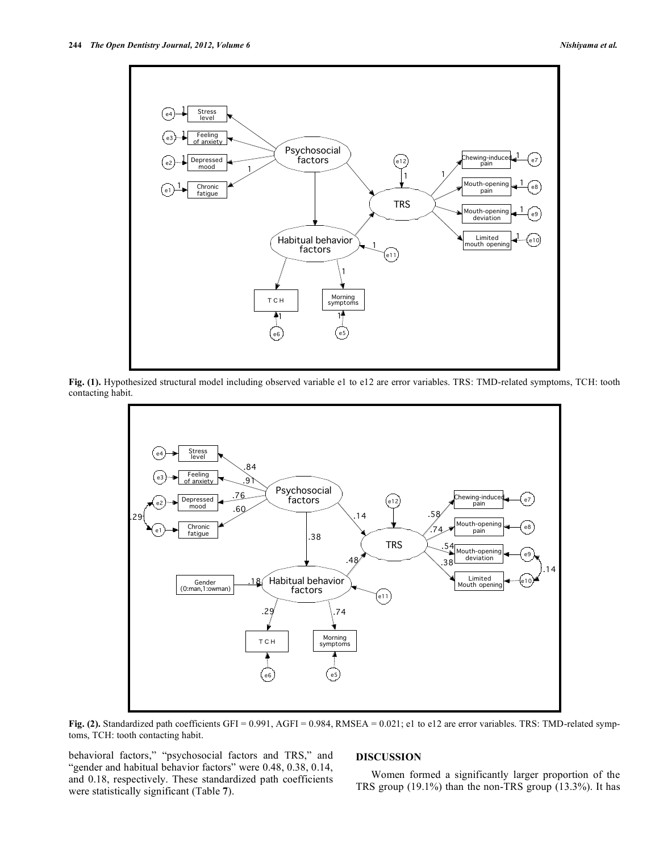

**Fig. (1).** Hypothesized structural model including observed variable e1 to e12 are error variables. TRS: TMD-related symptoms, TCH: tooth contacting habit.



**Fig. (2).** Standardized path coefficients GFI = 0.991, AGFI = 0.984, RMSEA = 0.021; e1 to e12 are error variables. TRS: TMD-related symptoms, TCH: tooth contacting habit.

behavioral factors," "psychosocial factors and TRS," and "gender and habitual behavior factors" were 0.48, 0.38, 0.14, and 0.18, respectively. These standardized path coefficients were statistically significant (Table **7**).

# **DISCUSSION**

Women formed a significantly larger proportion of the TRS group (19.1%) than the non-TRS group (13.3%). It has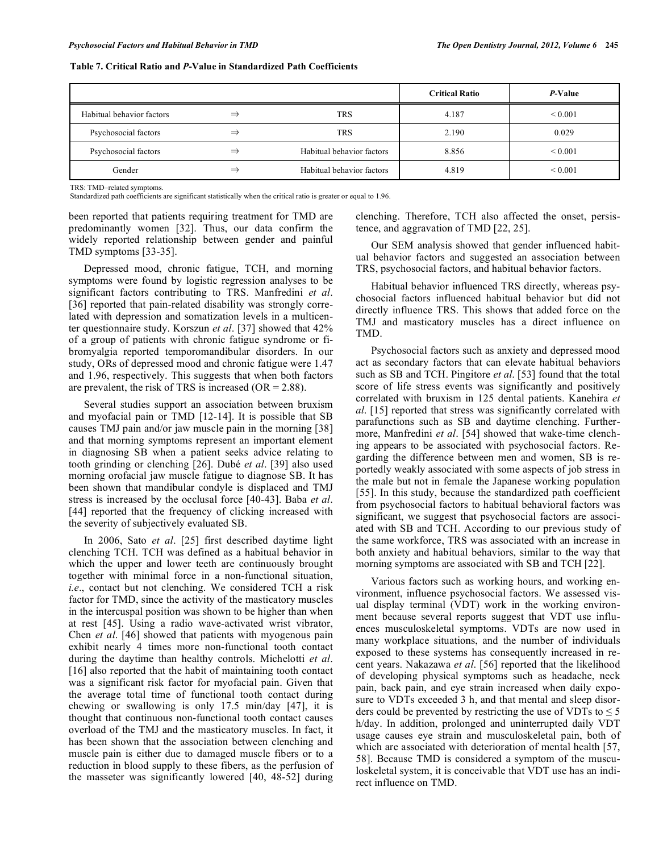|                           |               |                           | <b>Critical Ratio</b> | P-Value      |
|---------------------------|---------------|---------------------------|-----------------------|--------------|
| Habitual behavior factors | $\Rightarrow$ | TRS                       | 4.187                 | ${}_{0.001}$ |
| Psychosocial factors      | $\Rightarrow$ | TRS                       | 2.190                 | 0.029        |
| Psychosocial factors      | $\Rightarrow$ | Habitual behavior factors | 8.856                 | ${}_{0.001}$ |
| Gender                    | ⇒             | Habitual behavior factors | 4.819                 | ${}_{0.001}$ |

**Table 7. Critical Ratio and** *P***-Value in Standardized Path Coefficients**

TRS: TMD–related symptoms.

Standardized path coefficients are significant statistically when the critical ratio is greater or equal to 1.96.

been reported that patients requiring treatment for TMD are predominantly women [32]. Thus, our data confirm the widely reported relationship between gender and painful TMD symptoms [33-35].

Depressed mood, chronic fatigue, TCH, and morning symptoms were found by logistic regression analyses to be significant factors contributing to TRS. Manfredini *et al*. [36] reported that pain-related disability was strongly correlated with depression and somatization levels in a multicenter questionnaire study. Korszun *et al*. [37] showed that 42% of a group of patients with chronic fatigue syndrome or fibromyalgia reported temporomandibular disorders. In our study, ORs of depressed mood and chronic fatigue were 1.47 and 1.96, respectively. This suggests that when both factors are prevalent, the risk of TRS is increased  $(OR = 2.88)$ .

Several studies support an association between bruxism and myofacial pain or TMD [12-14]. It is possible that SB causes TMJ pain and/or jaw muscle pain in the morning [38] and that morning symptoms represent an important element in diagnosing SB when a patient seeks advice relating to tooth grinding or clenching [26]. Dubé *et al*. [39] also used morning orofacial jaw muscle fatigue to diagnose SB. It has been shown that mandibular condyle is displaced and TMJ stress is increased by the occlusal force [40-43]. Baba *et al*. [44] reported that the frequency of clicking increased with the severity of subjectively evaluated SB.

In 2006, Sato *et al*. [25] first described daytime light clenching TCH. TCH was defined as a habitual behavior in which the upper and lower teeth are continuously brought together with minimal force in a non-functional situation, *i.e*., contact but not clenching. We considered TCH a risk factor for TMD, since the activity of the masticatory muscles in the intercuspal position was shown to be higher than when at rest [45]. Using a radio wave-activated wrist vibrator, Chen *et al*. [46] showed that patients with myogenous pain exhibit nearly 4 times more non-functional tooth contact during the daytime than healthy controls. Michelotti *et al*. [16] also reported that the habit of maintaining tooth contact was a significant risk factor for myofacial pain. Given that the average total time of functional tooth contact during chewing or swallowing is only 17.5 min/day [47], it is thought that continuous non-functional tooth contact causes overload of the TMJ and the masticatory muscles. In fact, it has been shown that the association between clenching and muscle pain is either due to damaged muscle fibers or to a reduction in blood supply to these fibers, as the perfusion of the masseter was significantly lowered [40, 48-52] during

clenching. Therefore, TCH also affected the onset, persistence, and aggravation of TMD [22, 25].

Our SEM analysis showed that gender influenced habitual behavior factors and suggested an association between TRS, psychosocial factors, and habitual behavior factors.

Habitual behavior influenced TRS directly, whereas psychosocial factors influenced habitual behavior but did not directly influence TRS. This shows that added force on the TMJ and masticatory muscles has a direct influence on TMD.

Psychosocial factors such as anxiety and depressed mood act as secondary factors that can elevate habitual behaviors such as SB and TCH. Pingitore *et al*. [53] found that the total score of life stress events was significantly and positively correlated with bruxism in 125 dental patients. Kanehira *et al*. [15] reported that stress was significantly correlated with parafunctions such as SB and daytime clenching. Furthermore, Manfredini *et al*. [54] showed that wake-time clenching appears to be associated with psychosocial factors. Regarding the difference between men and women, SB is reportedly weakly associated with some aspects of job stress in the male but not in female the Japanese working population [55]. In this study, because the standardized path coefficient from psychosocial factors to habitual behavioral factors was significant, we suggest that psychosocial factors are associated with SB and TCH. According to our previous study of the same workforce, TRS was associated with an increase in both anxiety and habitual behaviors, similar to the way that morning symptoms are associated with SB and TCH [22].

Various factors such as working hours, and working environment, influence psychosocial factors. We assessed visual display terminal (VDT) work in the working environment because several reports suggest that VDT use influences musculoskeletal symptoms. VDTs are now used in many workplace situations, and the number of individuals exposed to these systems has consequently increased in recent years. Nakazawa *et al*. [56] reported that the likelihood of developing physical symptoms such as headache, neck pain, back pain, and eye strain increased when daily exposure to VDTs exceeded 3 h, and that mental and sleep disorders could be prevented by restricting the use of VDTs to  $\leq 5$ h/day. In addition, prolonged and uninterrupted daily VDT usage causes eye strain and musculoskeletal pain, both of which are associated with deterioration of mental health [57, 58]. Because TMD is considered a symptom of the musculoskeletal system, it is conceivable that VDT use has an indirect influence on TMD.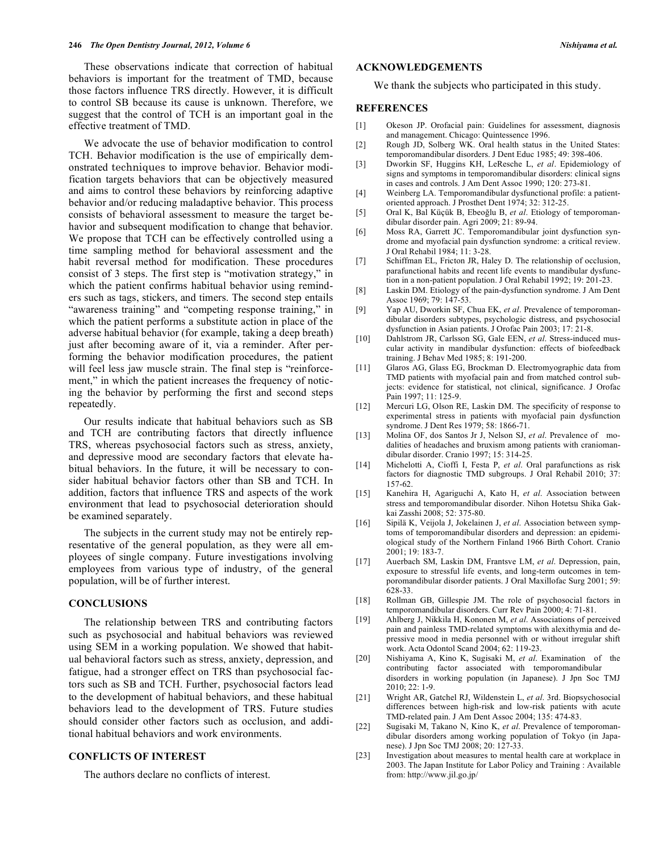These observations indicate that correction of habitual behaviors is important for the treatment of TMD, because those factors influence TRS directly. However, it is difficult to control SB because its cause is unknown. Therefore, we suggest that the control of TCH is an important goal in the effective treatment of TMD.

We advocate the use of behavior modification to control TCH. Behavior modification is the use of empirically demonstrated techniques to improve behavior. Behavior modification targets behaviors that can be objectively measured and aims to control these behaviors by reinforcing adaptive behavior and/or reducing maladaptive behavior. This process consists of behavioral assessment to measure the target behavior and subsequent modification to change that behavior. We propose that TCH can be effectively controlled using a time sampling method for behavioral assessment and the habit reversal method for modification. These procedures consist of 3 steps. The first step is "motivation strategy," in which the patient confirms habitual behavior using reminders such as tags, stickers, and timers. The second step entails "awareness training" and "competing response training," in which the patient performs a substitute action in place of the adverse habitual behavior (for example, taking a deep breath) just after becoming aware of it, via a reminder. After performing the behavior modification procedures, the patient will feel less jaw muscle strain. The final step is "reinforcement," in which the patient increases the frequency of noticing the behavior by performing the first and second steps repeatedly.

Our results indicate that habitual behaviors such as SB and TCH are contributing factors that directly influence TRS, whereas psychosocial factors such as stress, anxiety, and depressive mood are secondary factors that elevate habitual behaviors. In the future, it will be necessary to consider habitual behavior factors other than SB and TCH. In addition, factors that influence TRS and aspects of the work environment that lead to psychosocial deterioration should be examined separately.

The subjects in the current study may not be entirely representative of the general population, as they were all employees of single company. Future investigations involving employees from various type of industry, of the general population, will be of further interest.

# **CONCLUSIONS**

The relationship between TRS and contributing factors such as psychosocial and habitual behaviors was reviewed using SEM in a working population. We showed that habitual behavioral factors such as stress, anxiety, depression, and fatigue, had a stronger effect on TRS than psychosocial factors such as SB and TCH. Further, psychosocial factors lead to the development of habitual behaviors, and these habitual behaviors lead to the development of TRS. Future studies should consider other factors such as occlusion, and additional habitual behaviors and work environments.

# **CONFLICTS OF INTEREST**

The authors declare no conflicts of interest.

#### **ACKNOWLEDGEMENTS**

We thank the subjects who participated in this study.

## **REFERENCES**

- [1] Okeson JP. Orofacial pain: Guidelines for assessment, diagnosis and management. Chicago: Quintessence 1996.
- [2] Rough JD, Solberg WK. Oral health status in the United States: temporomandibular disorders. J Dent Educ 1985; 49: 398-406.
- [3] Dworkin SF, Huggins KH, LeResche L, *et al*. Epidemiology of signs and symptoms in temporomandibular disorders: clinical signs in cases and controls. J Am Dent Assoc 1990; 120: 273-81.
- [4] Weinberg LA. Temporomandibular dysfunctional profile: a patientoriented approach. J Prosthet Dent 1974; 32: 312-25.
- [5] Oral K, Bal Küçük B, Ebeoğlu B, *et al*. Etiology of temporomandibular disorder pain. Agri 2009; 21: 89-94.
- [6] Moss RA, Garrett JC. Temporomandibular joint dysfunction syndrome and myofacial pain dysfunction syndrome: a critical review. J Oral Rehabil 1984; 11: 3-28.
- [7] Schiffman EL, Fricton JR, Haley D. The relationship of occlusion, parafunctional habits and recent life events to mandibular dysfunction in a non-patient population. J Oral Rehabil 1992; 19: 201-23.
- [8] Laskin DM. Etiology of the pain-dysfunction syndrome. J Am Dent Assoc 1969; 79: 147-53.
- [9] Yap AU, Dworkin SF, Chua EK, *et al*. Prevalence of temporomandibular disorders subtypes, psychologic distress, and psychosocial dysfunction in Asian patients. J Orofac Pain 2003; 17: 21-8.
- [10] Dahlstrom JR, Carlsson SG, Gale EEN, *et al*. Stress-induced muscular activity in mandibular dysfunction: effects of biofeedback training. J Behav Med 1985; 8: 191-200.
- [11] Glaros AG, Glass EG, Brockman D. Electromyographic data from TMD patients with myofacial pain and from matched control subjects: evidence for statistical, not clinical, significance. J Orofac Pain 1997; 11: 125-9.
- [12] Mercuri LG, Olson RE, Laskin DM. The specificity of response to experimental stress in patients with myofacial pain dysfunction syndrome. J Dent Res 1979; 58: 1866-71.
- [13] Molina OF, dos Santos Jr J, Nelson SJ, *et al*. Prevalence of modalities of headaches and bruxism among patients with craniomandibular disorder. Cranio 1997; 15: 314-25.
- [14] Michelotti A, Cioffi I, Festa P, *et al*. Oral parafunctions as risk factors for diagnostic TMD subgroups. J Oral Rehabil 2010; 37: 157-62.
- [15] Kanehira H, Agariguchi A, Kato H, *et al*. Association between stress and temporomandibular disorder. Nihon Hotetsu Shika Gakkai Zasshi 2008; 52: 375-80.
- [16] Sipilä K, Veijola J, Jokelainen J, *et al*. Association between symptoms of temporomandibular disorders and depression: an epidemiological study of the Northern Finland 1966 Birth Cohort. Cranio 2001; 19: 183-7.
- [17] Auerbach SM, Laskin DM, Frantsve LM, *et al*. Depression, pain, exposure to stressful life events, and long-term outcomes in temporomandibular disorder patients. J Oral Maxillofac Surg 2001; 59: 628-33.
- [18] Rollman GB, Gillespie JM. The role of psychosocial factors in temporomandibular disorders. Curr Rev Pain 2000; 4: 71-81.
- [19] Ahlberg J, Nikkila H, Kononen M, *et al*. Associations of perceived pain and painless TMD-related symptoms with alexithymia and depressive mood in media personnel with or without irregular shift work. Acta Odontol Scand 2004; 62: 119-23.
- [20] Nishiyama A, Kino K, Sugisaki M, *et al*. Examination of the contributing factor associated with temporomandibular disorders in working population (in Japanese). J Jpn Soc TMJ 2010; 22: 1-9.
- [21] Wright AR, Gatchel RJ, Wildenstein L, *et al*. 3rd. Biopsychosocial differences between high-risk and low-risk patients with acute TMD-related pain. J Am Dent Assoc 2004; 135: 474-83.
- [22] Sugisaki M, Takano N, Kino K, *et al*. Prevalence of temporomandibular disorders among working population of Tokyo (in Japanese). J Jpn Soc TMJ 2008; 20: 127-33.
- [23] Investigation about measures to mental health care at workplace in 2003. The Japan Institute for Labor Policy and Training : Available from: http://www.jil.go.jp/